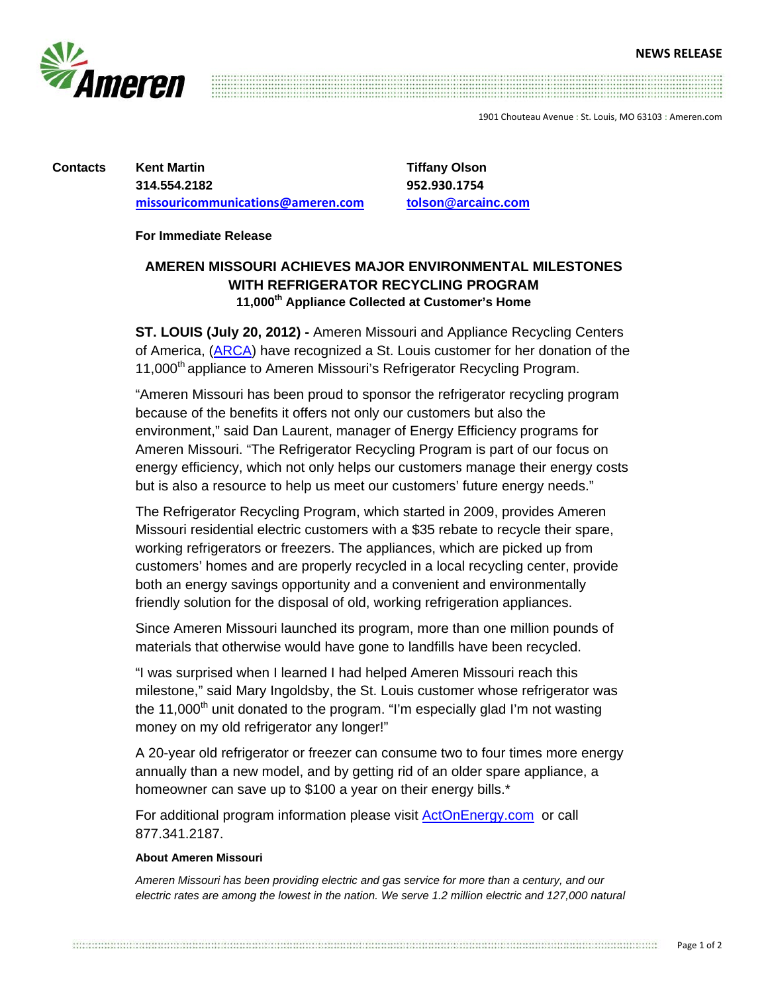

1901 Chouteau Avenue : St. Louis, MO 63103 : Ameren.com

**Contacts Kent Martin 314.554.2182 missouricommunications@ameren.com** **Tiffany Olson 952.930.1754 tolson@arcainc.com**

**For Immediate Release** 

## **AMEREN MISSOURI ACHIEVES MAJOR ENVIRONMENTAL MILESTONES WITH REFRIGERATOR RECYCLING PROGRAM 11,000th Appliance Collected at Customer's Home**

**ST. LOUIS (July 20, 2012) -** Ameren Missouri and Appliance Recycling Centers of America, (ARCA) have recognized a St. Louis customer for her donation of the 11,000<sup>th</sup> appliance to Ameren Missouri's Refrigerator Recycling Program.

"Ameren Missouri has been proud to sponsor the refrigerator recycling program because of the benefits it offers not only our customers but also the environment," said Dan Laurent, manager of Energy Efficiency programs for Ameren Missouri. "The Refrigerator Recycling Program is part of our focus on energy efficiency, which not only helps our customers manage their energy costs but is also a resource to help us meet our customers' future energy needs."

The Refrigerator Recycling Program, which started in 2009, provides Ameren Missouri residential electric customers with a \$35 rebate to recycle their spare, working refrigerators or freezers. The appliances, which are picked up from customers' homes and are properly recycled in a local recycling center, provide both an energy savings opportunity and a convenient and environmentally friendly solution for the disposal of old, working refrigeration appliances.

Since Ameren Missouri launched its program, more than one million pounds of materials that otherwise would have gone to landfills have been recycled.

"I was surprised when I learned I had helped Ameren Missouri reach this milestone," said Mary Ingoldsby, the St. Louis customer whose refrigerator was the 11,000<sup>th</sup> unit donated to the program. "I'm especially glad I'm not wasting money on my old refrigerator any longer!"

A 20-year old refrigerator or freezer can consume two to four times more energy annually than a new model, and by getting rid of an older spare appliance, a homeowner can save up to \$100 a year on their energy bills.\*

For additional program information please visit ActOnEnergy.com or call 877.341.2187.

## **About Ameren Missouri**

*Ameren Missouri has been providing electric and gas service for more than a century, and our*  electric rates are among the lowest in the nation. We serve 1.2 million electric and 127,000 natural